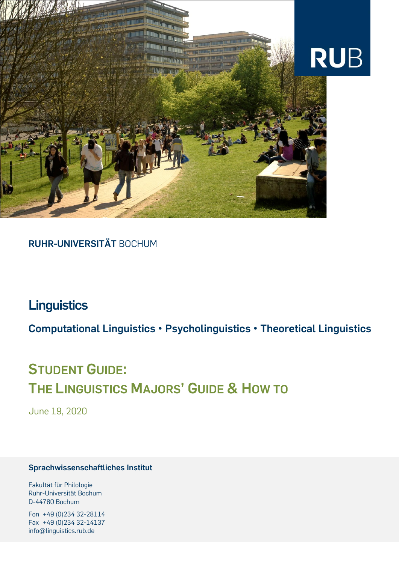

# **RUHR-UNIVERSITÄT** BOCHUM

# **Linguistics**

**Computational Linguistics • Psycholinguistics • Theoretical Linguistics**

# **STUDENT GUIDE: THE LINGUISTICS MAJORS' GUIDE & HOW TO**

June 19, 2020

#### **Sprachwissenschaftliches Institut**

Fakultät für Philologie Ruhr-Universität Bochum D-44780 Bochum

Fon +49 (0)234 32-28114 Fax +49 (0)234 32-14137 info@linguistics.rub.de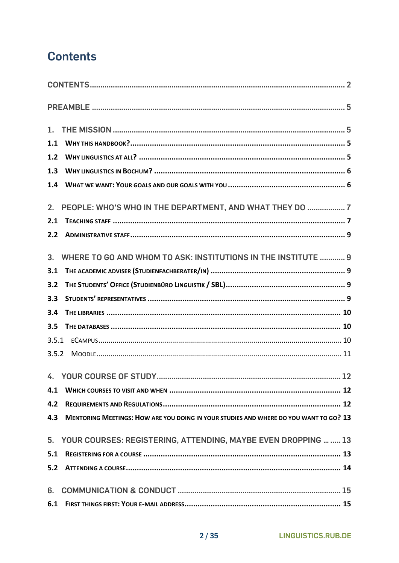# <span id="page-1-0"></span>**Contents**

| 1.             |                                                                                       |
|----------------|---------------------------------------------------------------------------------------|
| 1.1            |                                                                                       |
| 1.2            |                                                                                       |
| 1.3            |                                                                                       |
| 1.4            |                                                                                       |
| 2.             | PEOPLE: WHO'S WHO IN THE DEPARTMENT, AND WHAT THEY DO  7                              |
| 2.1            |                                                                                       |
| 2.2            |                                                                                       |
| 3 <sub>1</sub> | WHERE TO GO AND WHOM TO ASK: INSTITUTIONS IN THE INSTITUTE  9                         |
| 3.1            |                                                                                       |
| 3.2            |                                                                                       |
| 3.3            |                                                                                       |
| 3.4            |                                                                                       |
| 3.5            |                                                                                       |
| 3.5.1          |                                                                                       |
| 3.5.2          |                                                                                       |
|                |                                                                                       |
| 4.1            |                                                                                       |
| 4.2            |                                                                                       |
| 4.3            | MENTORING MEETINGS: HOW ARE YOU DOING IN YOUR STUDIES AND WHERE DO YOU WANT TO GO? 13 |
|                | 5. YOUR COURSES: REGISTERING, ATTENDING, MAYBE EVEN DROPPING   13                     |
| 5.1            |                                                                                       |
| 5.2            |                                                                                       |
| 6.             |                                                                                       |
| 6.1            |                                                                                       |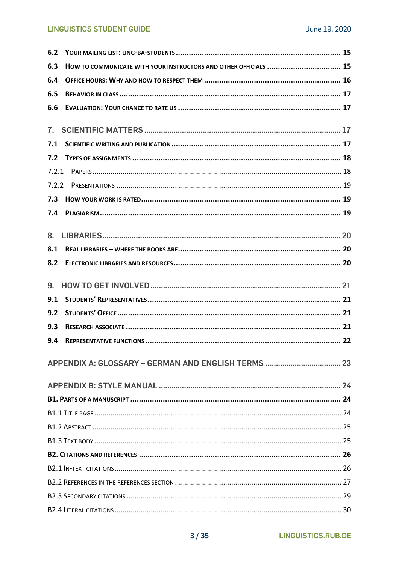#### **LINGUISTICS STUDENT GUIDE**

| 6.2            |                                                                  |  |
|----------------|------------------------------------------------------------------|--|
| 6.3            | HOW TO COMMUNICATE WITH YOUR INSTRUCTORS AND OTHER OFFICIALS  15 |  |
| 6.4            |                                                                  |  |
| 6.5            |                                                                  |  |
| 6.6            |                                                                  |  |
| $\mathbf{7}$ . |                                                                  |  |
| 7.1            |                                                                  |  |
| 7.2            |                                                                  |  |
|                |                                                                  |  |
| 7.2.2          |                                                                  |  |
| 7.3            |                                                                  |  |
|                |                                                                  |  |
| 8.             |                                                                  |  |
| 8.1            |                                                                  |  |
| 8.2            |                                                                  |  |
| 9.             |                                                                  |  |
| 9.1            |                                                                  |  |
| 9.2            |                                                                  |  |
| 9.3            |                                                                  |  |
| 9.4            |                                                                  |  |
|                |                                                                  |  |
|                |                                                                  |  |
|                |                                                                  |  |
|                |                                                                  |  |
|                |                                                                  |  |
|                |                                                                  |  |
|                |                                                                  |  |
|                |                                                                  |  |
|                |                                                                  |  |
|                |                                                                  |  |
|                |                                                                  |  |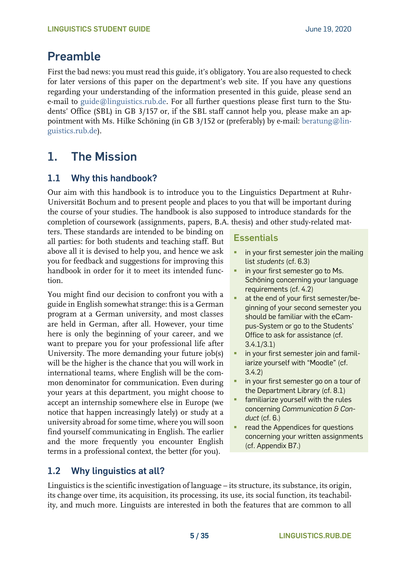# <span id="page-4-0"></span>**Preamble**

First the bad news: you must read this guide, it's obligatory. You are also requested to check for later versions of this paper on the department's web site. If you have any questions regarding your understanding of the information presented in this guide, please send an e-mail to [guide@linguistics.rub.de.](mailto:guide@linguistics.rub.de) For all further questions please first turn to the Students' Office (SBL) in GB 3/157 or, if the SBL staff cannot help you, please make an appointment with Ms. Hilke Schöning (in GB 3/152 or (preferably) by e-mail: [beratung@lin](mailto:beratunglinguistics.rub.de)[guistics.rub.de\)](mailto:beratunglinguistics.rub.de).

# <span id="page-4-1"></span>**1. The Mission**

# <span id="page-4-2"></span>**1.1 Why this handbook?**

Our aim with this handbook is to introduce you to the Linguistics Department at Ruhr-Universität Bochum and to present people and places to you that will be important during the course of your studies. The handbook is also supposed to introduce standards for the completion of coursework (assignments, papers, B.A. thesis) and other study-related mat-

ters. These standards are intended to be binding on all parties: for both students and teaching staff. But above all it is devised to help you, and hence we ask you for feedback and suggestions for improving this handbook in order for it to meet its intended function.

You might find our decision to confront you with a guide in English somewhat strange: this is a German program at a German university, and most classes are held in German, after all. However, your time here is only the beginning of your career, and we want to prepare you for your professional life after University. The more demanding your future job(s) will be the higher is the chance that you will work in international teams, where English will be the common denominator for communication. Even during your years at this department, you might choose to accept an internship somewhere else in Europe (we notice that happen increasingly lately) or study at a university abroad for some time, where you will soon find yourself communicating in English. The earlier and the more frequently you encounter English terms in a professional context, the better (for you).

# **Essentials**

- **•** in your first semester join the mailing list *students* (cf. 6.3)
- **·** in your first semester go to Ms. Schöning concerning your language requirements (cf. 4.2)
- at the end of your first semester/beginning of your second semester you should be familiar with the eCampus-System or go to the Students' Office to ask for assistance (cf. 3.4.1/3.1)
- **·** in your first semester join and familiarize yourself with "Moodle" (cf. 3.4.2)
- **·** in your first semester go on a tour of the Department Library (cf. 8.1)
- familiarize yourself with the rules concerning *Communication & Conduct* (cf. 6.)
- read the Appendices for questions concerning your written assignments (cf. Appendix B7.)

## <span id="page-4-3"></span>**1.2 Why linguistics at all?**

Linguistics is the scientific investigation of language – its structure, its substance, its origin, its change over time, its acquisition, its processing, its use, its social function, its teachability, and much more. Linguists are interested in both the features that are common to all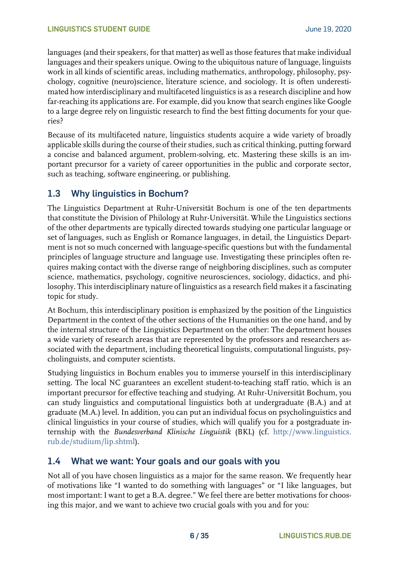languages (and their speakers, for that matter) as well as those features that make individual languages and their speakers unique. Owing to the ubiquitous nature of language, linguists work in all kinds of scientific areas, including mathematics, anthropology, philosophy, psychology, cognitive (neuro)science, literature science, and sociology. It is often underestimated how interdisciplinary and multifaceted linguistics is as a research discipline and how far-reaching its applications are. For example, did you know that search engines like Google to a large degree rely on linguistic research to find the best fitting documents for your queries?

Because of its multifaceted nature, linguistics students acquire a wide variety of broadly applicable skills during the course of their studies, such as critical thinking, putting forward a concise and balanced argument, problem-solving, etc. Mastering these skills is an important precursor for a variety of career opportunities in the public and corporate sector, such as teaching, software engineering, or publishing.

## <span id="page-5-0"></span>**1.3 Why linguistics in Bochum?**

The Linguistics Department at Ruhr-Universität Bochum is one of the ten departments that constitute the Division of Philology at Ruhr-Universität. While the Linguistics sections of the other departments are typically directed towards studying one particular language or set of languages, such as English or Romance languages, in detail, the Linguistics Department is not so much concerned with language-specific questions but with the fundamental principles of language structure and language use. Investigating these principles often requires making contact with the diverse range of neighboring disciplines, such as computer science, mathematics, psychology, cognitive neurosciences, sociology, didactics, and philosophy. This interdisciplinary nature of linguistics as a research field makes it a fascinating topic for study.

At Bochum, this interdisciplinary position is emphasized by the position of the Linguistics Department in the context of the other sections of the Humanities on the one hand, and by the internal structure of the Linguistics Department on the other: The department houses a wide variety of research areas that are represented by the professors and researchers associated with the department, including theoretical linguists, computational linguists, psycholinguists, and computer scientists.

Studying linguistics in Bochum enables you to immerse yourself in this interdisciplinary setting. The local NC guarantees an excellent student-to-teaching staff ratio, which is an important precursor for effective teaching and studying. At Ruhr-Universität Bochum, you can study linguistics and computational linguistics both at undergraduate (B.A.) and at graduate (M.A.) level. In addition, you can put an individual focus on psycholinguistics and clinical linguistics in your course of studies, which will qualify you for a postgraduate internship with the *Bundesverband Klinische Linguistik* (BKL) (cf. [http://www.linguistics.](http://www.linguistics.rub.de/studium/lip.shtml)  [rub.de/studium/lip.shtml\)](http://www.linguistics.rub.de/studium/lip.shtml).

## <span id="page-5-1"></span>**1.4 What we want: Your goals and our goals with you**

Not all of you have chosen linguistics as a major for the same reason. We frequently hear of motivations like "I wanted to do something with languages" or "I like languages, but most important: I want to get a B.A. degree." We feel there are better motivations for choosing this major, and we want to achieve two crucial goals with you and for you: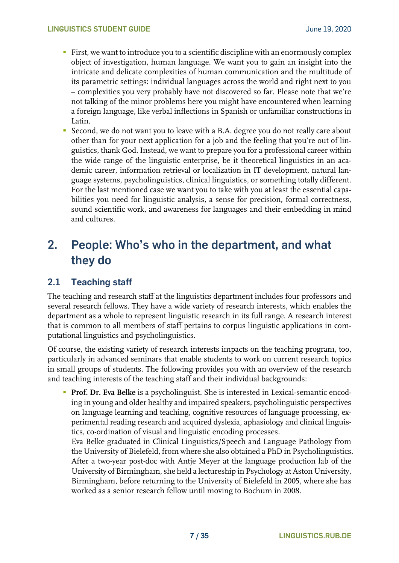- **First, we want to introduce you to a scientific discipline with an enormously complex** object of investigation, human language. We want you to gain an insight into the intricate and delicate complexities of human communication and the multitude of its parametric settings: individual languages across the world and right next to you – complexities you very probably have not discovered so far. Please note that we're not talking of the minor problems here you might have encountered when learning a foreign language, like verbal inflections in Spanish or unfamiliar constructions in Latin.
- Second, we do not want you to leave with a B.A. degree you do not really care about other than for your next application for a job and the feeling that you're out of linguistics, thank God. Instead, we want to prepare you for a professional career within the wide range of the linguistic enterprise, be it theoretical linguistics in an academic career, information retrieval or localization in IT development, natural language systems, psycholinguistics, clinical linguistics, or something totally different. For the last mentioned case we want you to take with you at least the essential capabilities you need for linguistic analysis, a sense for precision, formal correctness, sound scientific work, and awareness for languages and their embedding in mind and cultures.

# <span id="page-6-0"></span>**2. People: Who's who in the department, and what they do**

## <span id="page-6-1"></span>**2.1 Teaching staff**

The teaching and research staff at the linguistics department includes four professors and several research fellows. They have a wide variety of research interests, which enables the department as a whole to represent linguistic research in its full range. A research interest that is common to all members of staff pertains to corpus linguistic applications in computational linguistics and psycholinguistics.

Of course, the existing variety of research interests impacts on the teaching program, too, particularly in advanced seminars that enable students to work on current research topics in small groups of students. The following provides you with an overview of the research and teaching interests of the teaching staff and their individual backgrounds:

▪ **Prof. Dr. Eva Belke** is a psycholinguist. She is interested in Lexical-semantic encoding in young and older healthy and impaired speakers, psycholinguistic perspectives on language learning and teaching, cognitive resources of language processing, experimental reading research and acquired dyslexia, aphasiology and clinical linguistics, co-ordination of visual and linguistic encoding processes.

Eva Belke graduated in Clinical Linguistics/Speech and Language Pathology from the University of Bielefeld, from where she also obtained a PhD in Psycholinguistics. After a two-year post-doc with Antje Meyer at the language production lab of the University of Birmingham, she held a lectureship in Psychology at Aston University, Birmingham, before returning to the University of Bielefeld in 2005, where she has worked as a senior research fellow until moving to Bochum in 2008.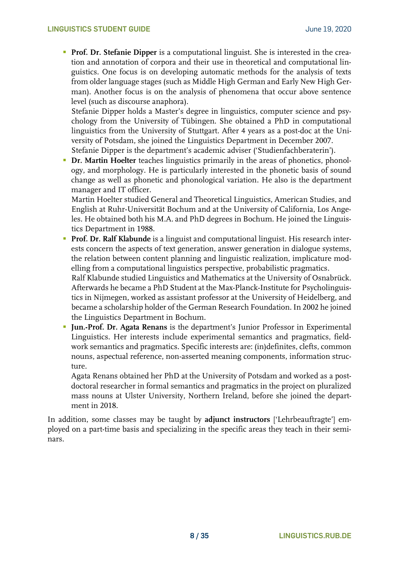**• Prof. Dr. Stefanie Dipper** is a computational linguist. She is interested in the creation and annotation of corpora and their use in theoretical and computational linguistics. One focus is on developing automatic methods for the analysis of texts from older language stages (such as Middle High German and Early New High German). Another focus is on the analysis of phenomena that occur above sentence level (such as discourse anaphora).

Stefanie Dipper holds a Master's degree in linguistics, computer science and psychology from the University of Tübingen. She obtained a PhD in computational linguistics from the University of Stuttgart. After 4 years as a post-doc at the University of Potsdam, she joined the Linguistics Department in December 2007. Stefanie Dipper is the department's academic adviser ('Studienfachberaterin').

**• Dr. Martin Hoelter** teaches linguistics primarily in the areas of phonetics, phonology, and morphology. He is particularly interested in the phonetic basis of sound change as well as phonetic and phonological variation. He also is the department manager and IT officer.

Martin Hoelter studied General and Theoretical Linguistics, American Studies, and English at Ruhr-Universität Bochum and at the University of California, Los Angeles. He obtained both his M.A. and PhD degrees in Bochum. He joined the Linguistics Department in 1988.

**Prof. Dr. Ralf Klabunde** is a linguist and computational linguist. His research interests concern the aspects of text generation, answer generation in dialogue systems, the relation between content planning and linguistic realization, implicature modelling from a computational linguistics perspective, probabilistic pragmatics.

Ralf Klabunde studied Linguistics and Mathematics at the University of Osnabrück. Afterwards he became a PhD Student at the Max-Planck-Institute for Psycholinguistics in Nijmegen, worked as assistant professor at the University of Heidelberg, and became a scholarship holder of the German Research Foundation. In 2002 he joined the Linguistics Department in Bochum.

**Jun.-Prof. Dr. Agata Renans** is the department's Junior Professor in Experimental Linguistics. Her interests include experimental semantics and pragmatics, fieldwork semantics and pragmatics. Specific interests are: (in)definites, clefts, common nouns, aspectual reference, non-asserted meaning components, information structure.

Agata Renans obtained her PhD at the University of Potsdam and worked as a postdoctoral researcher in formal semantics and pragmatics in the project on pluralized mass nouns at Ulster University, Northern Ireland, before she joined the department in 2018.

In addition, some classes may be taught by **adjunct instructors** ['Lehrbeauftragte'] employed on a part-time basis and specializing in the specific areas they teach in their seminars.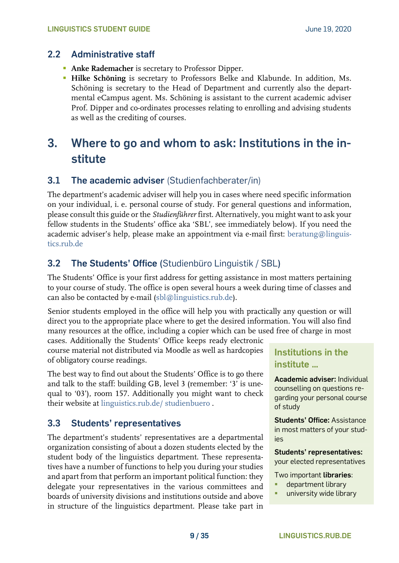## <span id="page-8-0"></span>**2.2 Administrative staff**

- **Anke Rademacher** is secretary to Professor Dipper.
- **Hilke Schöning** is secretary to Professors Belke and Klabunde. In addition, Ms. Schöning is secretary to the Head of Department and currently also the departmental eCampus agent. Ms. Schöning is assistant to the current academic adviser Prof. Dipper and co-ordinates processes relating to enrolling and advising students as well as the crediting of courses.

# <span id="page-8-1"></span>**3. Where to go and whom to ask: Institutions in the institute**

## <span id="page-8-2"></span>**3.1 The academic adviser** (Studienfachberater/in)

The department's academic adviser will help you in cases where need specific information on your individual, i. e. personal course of study. For general questions and information, please consult this guide or the *Studienführer* first. Alternatively, you might want to ask your fellow students in the Students' office aka 'SBL', see immediately below). If you need the academic adviser's help, please make an appointment via e-mail first: [beratung@linguis](mailto:beratung@linguistics.rub.de)[tics.rub.de](mailto:beratung@linguistics.rub.de)

# <span id="page-8-3"></span>**3.2 The Students' Office (**Studienbüro Linguistik / SBL**)**

The Students' Office is your first address for getting assistance in most matters pertaining to your course of study. The office is open several hours a week during time of classes and can also be contacted by e-mail [\(sbl@linguistics.rub.de\)](mailto:sbl@linguistics.rub.de).

Senior students employed in the office will help you with practically any question or will direct you to the appropriate place where to get the desired information. You will also find many resources at the office, including a copier which can be used free of charge in most

cases. Additionally the Students' Office keeps ready electronic course material not distributed via Moodle as well as hardcopies of obligatory course readings.

The best way to find out about the Students' Office is to go there and talk to the staff: building GB, level 3 (remember: '3' is unequal to '03'), room 157. Additionally you might want to check their website at [linguistics.rub.de/ studienbuero](https://www.linguistics.rub.de/studienbuero) .

## <span id="page-8-4"></span>**3.3 Students' representatives**

The department's students' representatives are a departmental organization consisting of about a dozen students elected by the student body of the linguistics department. These representatives have a number of functions to help you during your studies and apart from that perform an important political function: they delegate your representatives in the various committees and boards of university divisions and institutions outside and above in structure of the linguistics department. Please take part in

# **Institutions in the institute …**

**Academic adviser:** Individual counselling on questions regarding your personal course of study

**Students' Office:** Assistance in most matters of your studies

**Students' representatives:**

your elected representatives

Two important **libraries**:

- department library
- university wide library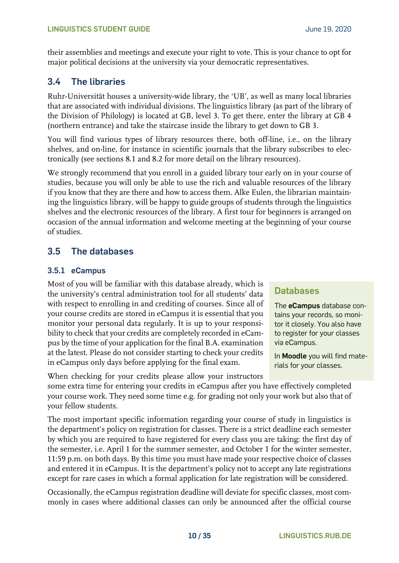their assemblies and meetings and execute your right to vote. This is your chance to opt for major political decisions at the university via your democratic representatives.

# <span id="page-9-0"></span>**3.4 The libraries**

Ruhr-Universität houses a university-wide library, the 'UB', as well as many local libraries that are associated with individual divisions. The linguistics library (as part of the library of the Division of Philology) is located at GB, level 3. To get there, enter the library at GB 4 (northern entrance) and take the staircase inside the library to get down to GB 3.

You will find various types of library resources there, both off-line, i.e., on the library shelves, and on-line, for instance in scientific journals that the library subscribes to electronically (see sections 8.1 and 8.2 for more detail on the library resources).

We strongly recommend that you enroll in a guided library tour early on in your course of studies, because you will only be able to use the rich and valuable resources of the library if you know that they are there and how to access them. Alke Eulen, the librarian maintaining the linguistics library, will be happy to guide groups of students through the linguistics shelves and the electronic resources of the library. A first tour for beginners is arranged on occasion of the annual information and welcome meeting at the beginning of your course of studies.

# <span id="page-9-1"></span>**3.5 The databases**

### <span id="page-9-2"></span>**3.5.1 eCampus**

Most of you will be familiar with this database already, which is the university's central administration tool for all students' data with respect to enrolling in and crediting of courses. Since all of your course credits are stored in eCampus it is essential that you monitor your personal data regularly. It is up to your responsibility to check that your credits are completely recorded in eCampus by the time of your application for the final B.A. examination at the latest. Please do not consider starting to check your credits in eCampus only days before applying for the final exam.

When checking for your credits please allow your instructors

## **Databases**

The **eCampus** database contains your records, so monitor it closely. You also have to register for your classes via eCampus.

In **Moodle** you will find materials for your classes.

some extra time for entering your credits in eCampus after you have effectively completed your course work. They need some time e.g. for grading not only your work but also that of your fellow students.

The most important specific information regarding your course of study in linguistics is the department's policy on registration for classes. There is a strict deadline each semester by which you are required to have registered for every class you are taking: the first day of the semester, i.e. April 1 for the summer semester, and October 1 for the winter semester, 11:59 p.m. on both days. By this time you must have made your respective choice of classes and entered it in eCampus. It is the department's policy not to accept any late registrations except for rare cases in which a formal application for late registration will be considered.

Occasionally, the eCampus registration deadline will deviate for specific classes, most commonly in cases where additional classes can only be announced after the official course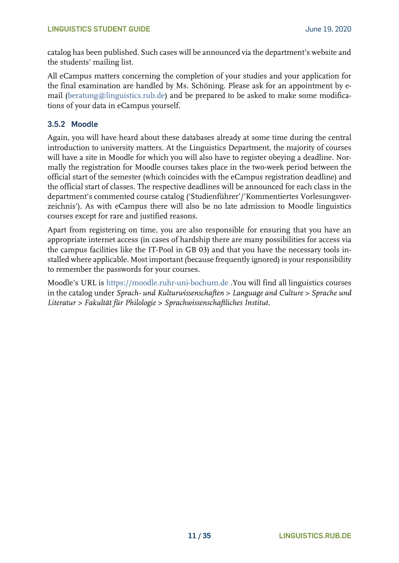catalog has been published. Such cases will be announced via the department's website and the students' mailing list.

All eCampus matters concerning the completion of your studies and your application for the final examination are handled by Ms. Schöning. Please ask for an appointment by email [\(beratung@linguistics.rub.de\)](mailto:beratung@linguistics.rub.de) and be prepared to be asked to make some modifications of your data in eCampus yourself.

#### <span id="page-10-0"></span>**3.5.2 Moodle**

Again, you will have heard about these databases already at some time during the central introduction to university matters. At the Linguistics Department, the majority of courses will have a site in Moodle for which you will also have to register obeying a deadline. Normally the registration for Moodle courses takes place in the two-week period between the official start of the semester (which coincides with the eCampus registration deadline) and the official start of classes. The respective deadlines will be announced for each class in the department's commented course catalog ('Studienführer'/'Kommentiertes Vorlesungsverzeichnis'). As with eCampus there will also be no late admission to Moodle linguistics courses except for rare and justified reasons.

Apart from registering on time, you are also responsible for ensuring that you have an appropriate internet access (in cases of hardship there are many possibilities for access via the campus facilities like the IT-Pool in GB 03) and that you have the necessary tools installed where applicable. Most important (because frequently ignored) is your responsibility to remember the passwords for your courses.

Moodle's URL is [https://moodle.ruhr-uni-bochum.de](https://moodle.ruhr-uni-bochum.de/) .You will find all linguistics courses in the catalog under *Sprach- und Kulturwissenschaften > Language and Culture > Sprache und Literatur > Fakultät für Philologie > Sprachwissenschaftliches Institut*.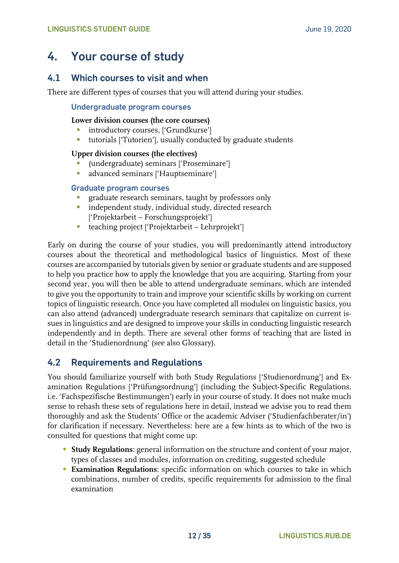# <span id="page-11-0"></span>**4. Your course of study**

## <span id="page-11-1"></span>**4.1 Which courses to visit and when**

There are different types of courses that you will attend during your studies.

#### **Undergraduate program courses**

#### **Lower division courses (the core courses)**

- **·** introductory courses, ['Grundkurse']
- tutorials ['Tutorien'], usually conducted by graduate students

#### **Upper division courses (the electives)**

- (undergraduate) seminars ['Proseminare']
- **·** advanced seminars ['Hauptseminare']

#### **Graduate program courses**

- graduate research seminars, taught by professors only
- **·** independent study, individual study, directed research ['Projektarbeit – Forschungsprojekt']
- teaching project ['Projektarbeit Lehrprojekt']

Early on during the course of your studies, you will predominantly attend introductory courses about the theoretical and methodological basics of linguistics. Most of these courses are accompanied by tutorials given by senior or graduate students and are supposed to help you practice how to apply the knowledge that you are acquiring. Starting from your second year, you will then be able to attend undergraduate seminars, which are intended to give you the opportunity to train and improve your scientific skills by working on current topics of linguistic research. Once you have completed all modules on linguistic basics, you can also attend (advanced) undergraduate research seminars that capitalize on current issues in linguistics and are designed to improve your skills in conducting linguistic research independently and in depth. There are several other forms of teaching that are listed in detail in the 'Studienordnung' (see also Glossary).

## <span id="page-11-2"></span>**4.2 Requirements and Regulations**

You should familiarize yourself with both Study Regulations ['Studienordnung'] and Examination Regulations ['Prüfungsordnung'] (including the Subject-Specific Regulations. i.e. 'Fachspezifische Bestimmungen') early in your course of study. It does not make much sense to rehash these sets of regulations here in detail, instead we advise you to read them thoroughly and ask the Students' Office or the academic Adviser ('Studienfachberater/in') for clarification if necessary. Nevertheless: here are a few hints as to which of the two is consulted for questions that might come up:

- **Example 3 Study Regulations:** general information on the structure and content of your major, types of classes and modules, information on crediting, suggested schedule
- **Examination Regulations:** specific information on which courses to take in which combinations, number of credits, specific requirements for admission to the final examination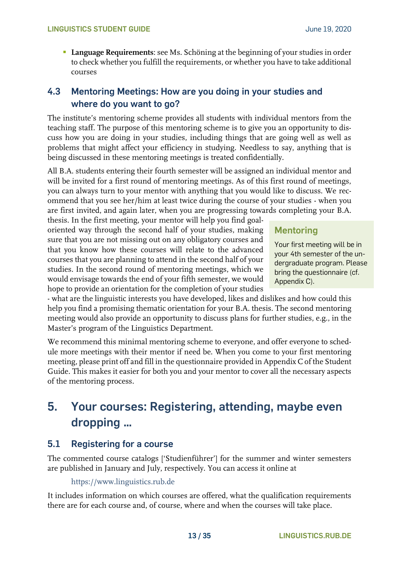**• Language Requirements:** see Ms. Schöning at the beginning of your studies in order to check whether you fulfill the requirements, or whether you have to take additional courses

## <span id="page-12-0"></span>**4.3 Mentoring Meetings: How are you doing in your studies and where do you want to go?**

The institute's mentoring scheme provides all students with individual mentors from the teaching staff. The purpose of this mentoring scheme is to give you an opportunity to discuss how you are doing in your studies, including things that are going well as well as problems that might affect your efficiency in studying. Needless to say, anything that is being discussed in these mentoring meetings is treated confidentially.

All B.A. students entering their fourth semester will be assigned an individual mentor and will be invited for a first round of mentoring meetings. As of this first round of meetings, you can always turn to your mentor with anything that you would like to discuss. We recommend that you see her/him at least twice during the course of your studies - when you are first invited, and again later, when you are progressing towards completing your B.A.

thesis. In the first meeting, your mentor will help you find goaloriented way through the second half of your studies, making sure that you are not missing out on any obligatory courses and that you know how these courses will relate to the advanced courses that you are planning to attend in the second half of your studies. In the second round of mentoring meetings, which we would envisage towards the end of your fifth semester, we would hope to provide an orientation for the completion of your studies

## **Mentoring**

Your first meeting will be in your 4th semester of the undergraduate program. Please bring the questionnaire (cf. Appendix C).

- what are the linguistic interests you have developed, likes and dislikes and how could this help you find a promising thematic orientation for your B.A. thesis. The second mentoring meeting would also provide an opportunity to discuss plans for further studies, e.g., in the Master's program of the Linguistics Department.

We recommend this minimal mentoring scheme to everyone, and offer everyone to schedule more meetings with their mentor if need be. When you come to your first mentoring meeting, please print off and fill in the questionnaire provided in Appendix C of the Student Guide. This makes it easier for both you and your mentor to cover all the necessary aspects of the mentoring process.

# <span id="page-12-1"></span>**5. Your courses: Registering, attending, maybe even dropping …**

## <span id="page-12-2"></span>**5.1 Registering for a course**

The commented course catalogs ['Studienführer'] for the summer and winter semesters are published in January and July, respectively. You can access it online at

[https://www.linguistics.rub.de](https://www.linguistics.rub.de/)

It includes information on which courses are offered, what the qualification requirements there are for each course and, of course, where and when the courses will take place.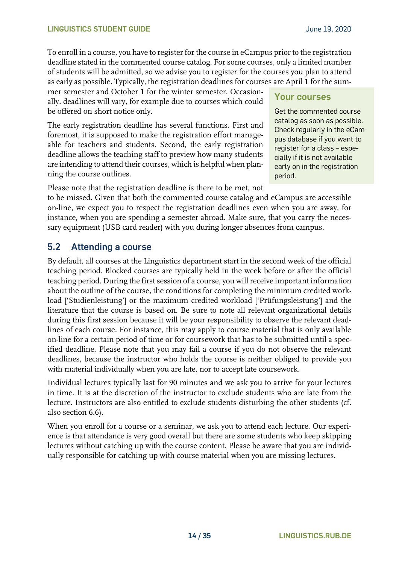To enroll in a course, you have to register for the course in eCampus prior to the registration deadline stated in the commented course catalog. For some courses, only a limited number of students will be admitted, so we advise you to register for the courses you plan to attend as early as possible. Typically, the registration deadlines for courses are April 1 for the sum-

mer semester and October 1 for the winter semester. Occasionally, deadlines will vary, for example due to courses which could be offered on short notice only.

The early registration deadline has several functions. First and foremost, it is supposed to make the registration effort manageable for teachers and students. Second, the early registration deadline allows the teaching staff to preview how many students are intending to attend their courses, which is helpful when planning the course outlines.

## **Your courses**

Get the commented course catalog as soon as possible. Check regularly in the eCampus database if you want to register for a class – especially if it is not available early on in the registration period.

Please note that the registration deadline is there to be met, not

to be missed. Given that both the commented course catalog and eCampus are accessible on-line, we expect you to respect the registration deadlines even when you are away, for instance, when you are spending a semester abroad. Make sure, that you carry the necessary equipment (USB card reader) with you during longer absences from campus.

## <span id="page-13-0"></span>**5.2 Attending a course**

By default, all courses at the Linguistics department start in the second week of the official teaching period. Blocked courses are typically held in the week before or after the official teaching period. During the first session of a course, you will receive important information about the outline of the course, the conditions for completing the minimum credited workload ['Studienleistung'] or the maximum credited workload ['Prüfungsleistung'] and the literature that the course is based on. Be sure to note all relevant organizational details during this first session because it will be your responsibility to observe the relevant deadlines of each course. For instance, this may apply to course material that is only available on-line for a certain period of time or for coursework that has to be submitted until a specified deadline. Please note that you may fail a course if you do not observe the relevant deadlines, because the instructor who holds the course is neither obliged to provide you with material individually when you are late, nor to accept late coursework.

Individual lectures typically last for 90 minutes and we ask you to arrive for your lectures in time. It is at the discretion of the instructor to exclude students who are late from the lecture. Instructors are also entitled to exclude students disturbing the other students (cf. also section 6.6).

When you enroll for a course or a seminar, we ask you to attend each lecture. Our experience is that attendance is very good overall but there are some students who keep skipping lectures without catching up with the course content. Please be aware that you are individually responsible for catching up with course material when you are missing lectures.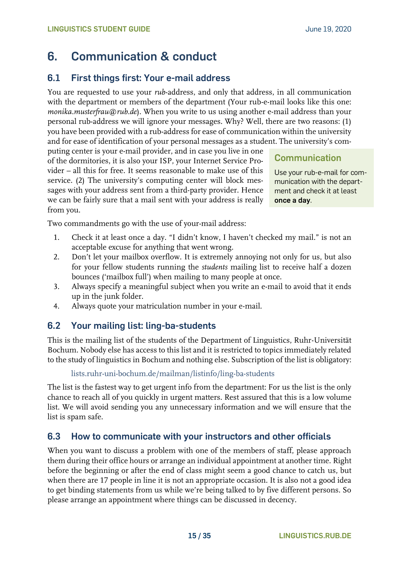# <span id="page-14-0"></span>**6. Communication & conduct**

## <span id="page-14-1"></span>**6.1 First things first: Your e-mail address**

You are requested to use your *rub*-address, and only that address, in all communication with the department or members of the department (Your rub-e-mail looks like this one: *monika.musterfrau@rub.de*). When you write to us using another e-mail address than your personal rub-address we will ignore your messages. Why? Well, there are two reasons: (1) you have been provided with a rub-address for ease of communication within the university and for ease of identification of your personal messages as a student. The university's com-

puting center is your e-mail provider, and in case you live in one of the dormitories, it is also your ISP, your Internet Service Provider – all this for free. It seems reasonable to make use of this service. (2) The university's computing center will block messages with your address sent from a third-party provider. Hence we can be fairly sure that a mail sent with your address is really from you.

**Communication**

Use your rub-e-mail for communication with the department and check it at least **once a day**.

Two commandments go with the use of your-mail address:

- 1. Check it at least once a day. "I didn't know, I haven't checked my mail." is not an acceptable excuse for anything that went wrong.
- 2. Don't let your mailbox overflow. It is extremely annoying not only for us, but also for your fellow students running the *students* mailing list to receive half a dozen bounces ('mailbox full') when mailing to many people at once.
- 3. Always specify a meaningful subject when you write an e-mail to avoid that it ends up in the junk folder.
- 4. Always quote your matriculation number in your e-mail.

## <span id="page-14-2"></span>**6.2 Your mailing list: ling-ba-students**

This is the mailing list of the students of the Department of Linguistics, Ruhr-Universität Bochum. Nobody else has access to this list and it is restricted to topics immediately related to the study of linguistics in Bochum and nothing else. Subscription of the list is obligatory:

#### [lists.ruhr-uni-bochum.de/mailman/listinfo/ling-ba-students](https://lists.ruhr-uni-bochum.de/mailman/listinfo/ling-ba-students)

The list is the fastest way to get urgent info from the department: For us the list is the only chance to reach all of you quickly in urgent matters. Rest assured that this is a low volume list. We will avoid sending you any unnecessary information and we will ensure that the list is spam safe.

## <span id="page-14-3"></span>**6.3 How to communicate with your instructors and other officials**

When you want to discuss a problem with one of the members of staff, please approach them during their office hours or arrange an individual appointment at another time. Right before the beginning or after the end of class might seem a good chance to catch us, but when there are 17 people in line it is not an appropriate occasion. It is also not a good idea to get binding statements from us while we're being talked to by five different persons. So please arrange an appointment where things can be discussed in decency.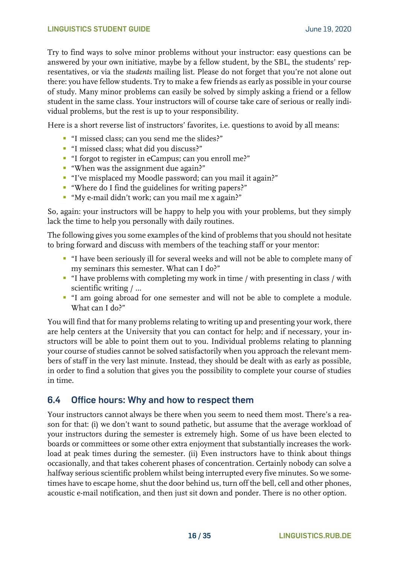Try to find ways to solve minor problems without your instructor: easy questions can be answered by your own initiative, maybe by a fellow student, by the SBL, the students' representatives, or via the *students* mailing list. Please do not forget that you're not alone out there: you have fellow students. Try to make a few friends as early as possible in your course of study. Many minor problems can easily be solved by simply asking a friend or a fellow student in the same class. Your instructors will of course take care of serious or really individual problems, but the rest is up to your responsibility.

Here is a short reverse list of instructors' favorites, i.e. questions to avoid by all means:

- "I missed class; can you send me the slides?"
- "I missed class; what did you discuss?"
- "I forgot to register in eCampus; can you enroll me?"
- "When was the assignment due again?"
- "I've misplaced my Moodle password; can you mail it again?"
- "Where do I find the guidelines for writing papers?"
- "My e-mail didn't work; can you mail me x again?"

So, again: your instructors will be happy to help you with your problems, but they simply lack the time to help you personally with daily routines.

The following gives you some examples of the kind of problems that you should not hesitate to bring forward and discuss with members of the teaching staff or your mentor:

- "I have been seriously ill for several weeks and will not be able to complete many of my seminars this semester. What can I do?"
- "I have problems with completing my work in time / with presenting in class / with scientific writing / …
- "I am going abroad for one semester and will not be able to complete a module. What can I do?"

You will find that for many problems relating to writing up and presenting your work, there are help centers at the University that you can contact for help; and if necessary, your instructors will be able to point them out to you. Individual problems relating to planning your course of studies cannot be solved satisfactorily when you approach the relevant members of staff in the very last minute. Instead, they should be dealt with as early as possible, in order to find a solution that gives you the possibility to complete your course of studies in time.

#### <span id="page-15-0"></span>**6.4 Office hours: Why and how to respect them**

Your instructors cannot always be there when you seem to need them most. There's a reason for that: (i) we don't want to sound pathetic, but assume that the average workload of your instructors during the semester is extremely high. Some of us have been elected to boards or committees or some other extra enjoyment that substantially increases the workload at peak times during the semester. (ii) Even instructors have to think about things occasionally, and that takes coherent phases of concentration. Certainly nobody can solve a halfway serious scientific problem whilst being interrupted every five minutes. So we sometimes have to escape home, shut the door behind us, turn off the bell, cell and other phones, acoustic e-mail notification, and then just sit down and ponder. There is no other option.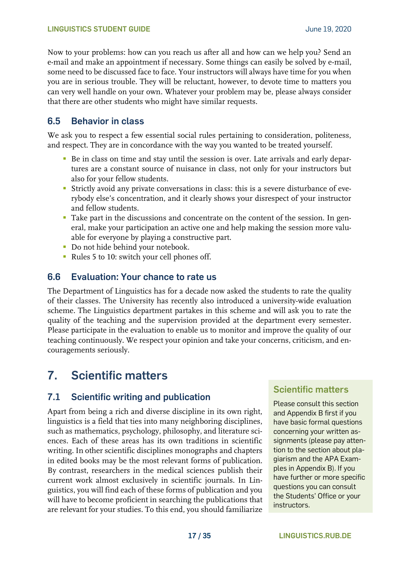Now to your problems: how can you reach us after all and how can we help you? Send an e-mail and make an appointment if necessary. Some things can easily be solved by e-mail, some need to be discussed face to face. Your instructors will always have time for you when you are in serious trouble. They will be reluctant, however, to devote time to matters you can very well handle on your own. Whatever your problem may be, please always consider that there are other students who might have similar requests.

## <span id="page-16-0"></span>**6.5 Behavior in class**

We ask you to respect a few essential social rules pertaining to consideration, politeness, and respect. They are in concordance with the way you wanted to be treated yourself.

- Be in class on time and stay until the session is over. Late arrivals and early departures are a constant source of nuisance in class, not only for your instructors but also for your fellow students.
- Strictly avoid any private conversations in class: this is a severe disturbance of everybody else's concentration, and it clearly shows your disrespect of your instructor and fellow students.
- **Take part in the discussions and concentrate on the content of the session. In gen**eral, make your participation an active one and help making the session more valuable for everyone by playing a constructive part.
- **•** Do not hide behind your notebook.
- Rules 5 to 10: switch your cell phones off.

## <span id="page-16-1"></span>**6.6 Evaluation: Your chance to rate us**

The Department of Linguistics has for a decade now asked the students to rate the quality of their classes. The University has recently also introduced a university-wide evaluation scheme. The Linguistics department partakes in this scheme and will ask you to rate the quality of the teaching and the supervision provided at the department every semester. Please participate in the evaluation to enable us to monitor and improve the quality of our teaching continuously. We respect your opinion and take your concerns, criticism, and encouragements seriously.

# <span id="page-16-2"></span>**7. Scientific matters**

## <span id="page-16-3"></span>**7.1 Scientific writing and publication**

Apart from being a rich and diverse discipline in its own right, linguistics is a field that ties into many neighboring disciplines, such as mathematics, psychology, philosophy, and literature sciences. Each of these areas has its own traditions in scientific writing. In other scientific disciplines monographs and chapters in edited books may be the most relevant forms of publication. By contrast, researchers in the medical sciences publish their current work almost exclusively in scientific journals. In Linguistics, you will find each of these forms of publication and you will have to become proficient in searching the publications that are relevant for your studies. To this end, you should familiarize

## **Scientific matters**

Please consult this section and Appendix B first if you have basic formal questions concerning your written assignments (please pay attention to the section about plagiarism and the APA Examples in Appendix B). If you have further or more specific questions you can consult the Students' Office or your instructors.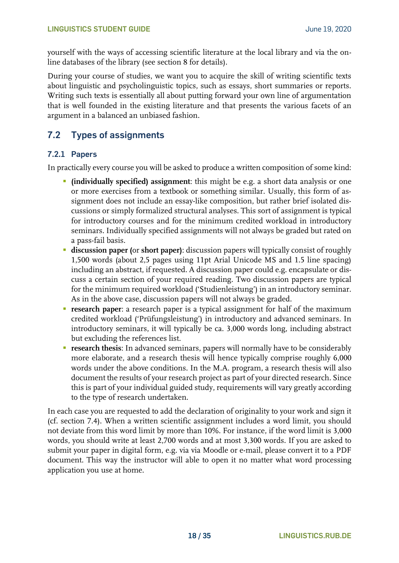yourself with the ways of accessing scientific literature at the local library and via the online databases of the library (see section 8 for details).

During your course of studies, we want you to acquire the skill of writing scientific texts about linguistic and psycholinguistic topics, such as essays, short summaries or reports. Writing such texts is essentially all about putting forward your own line of argumentation that is well founded in the existing literature and that presents the various facets of an argument in a balanced an unbiased fashion.

## <span id="page-17-0"></span>**7.2 Types of assignments**

#### <span id="page-17-1"></span>**7.2.1 Papers**

In practically every course you will be asked to produce a written composition of some kind:

- **(individually specified) assignment**: this might be e.g. a short data analysis or one or more exercises from a textbook or something similar. Usually, this form of assignment does not include an essay-like composition, but rather brief isolated discussions or simply formalized structural analyses. This sort of assignment is typical for introductory courses and for the minimum credited workload in introductory seminars. Individually specified assignments will not always be graded but rated on a pass-fail basis.
- **discussion paper (**or **short paper)**: discussion papers will typically consist of roughly 1,500 words (about 2,5 pages using 11pt Arial Unicode MS and 1.5 line spacing) including an abstract, if requested. A discussion paper could e.g. encapsulate or discuss a certain section of your required reading. Two discussion papers are typical for the minimum required workload ('Studienleistung') in an introductory seminar. As in the above case, discussion papers will not always be graded.
- **research paper**: a research paper is a typical assignment for half of the maximum credited workload ('Prüfungsleistung') in introductory and advanced seminars. In introductory seminars, it will typically be ca. 3,000 words long, including abstract but excluding the references list.
- **EXPEDENT FIGUREY 12 THESE IS A research thesis:** In advanced seminars, papers will normally have to be considerably more elaborate, and a research thesis will hence typically comprise roughly 6,000 words under the above conditions. In the M.A. program, a research thesis will also document the results of your research project as part of your directed research. Since this is part of your individual guided study, requirements will vary greatly according to the type of research undertaken.

In each case you are requested to add the declaration of originality to your work and sign it (cf. section 7.4). When a written scientific assignment includes a word limit, you should not deviate from this word limit by more than 10%. For instance, if the word limit is 3,000 words, you should write at least 2,700 words and at most 3,300 words. If you are asked to submit your paper in digital form, e.g. via via Moodle or e-mail, please convert it to a PDF document. This way the instructor will able to open it no matter what word processing application you use at home.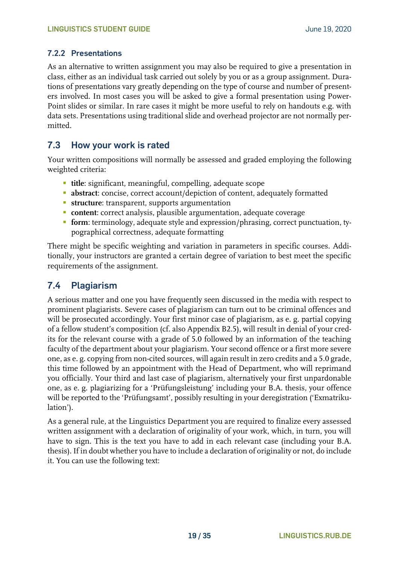#### <span id="page-18-0"></span>**7.2.2 Presentations**

As an alternative to written assignment you may also be required to give a presentation in class, either as an individual task carried out solely by you or as a group assignment. Durations of presentations vary greatly depending on the type of course and number of presenters involved. In most cases you will be asked to give a formal presentation using Power-Point slides or similar. In rare cases it might be more useful to rely on handouts e.g. with data sets. Presentations using traditional slide and overhead projector are not normally permitted.

### <span id="page-18-1"></span>**7.3 How your work is rated**

Your written compositions will normally be assessed and graded employing the following weighted criteria:

- **title**: significant, meaningful, compelling, adequate scope
- **abstract**: concise, correct account/depiction of content, adequately formatted
- **EXECUTE:** transparent, supports argumentation
- **content**: correct analysis, plausible argumentation, adequate coverage
- **form**: terminology, adequate style and expression/phrasing, correct punctuation, typographical correctness, adequate formatting

There might be specific weighting and variation in parameters in specific courses. Additionally, your instructors are granted a certain degree of variation to best meet the specific requirements of the assignment.

### <span id="page-18-2"></span>**7.4 Plagiarism**

A serious matter and one you have frequently seen discussed in the media with respect to prominent plagiarists. Severe cases of plagiarism can turn out to be criminal offences and will be prosecuted accordingly. Your first minor case of plagiarism, as e. g. partial copying of a fellow student's composition (cf. also Appendix B2.5), will result in denial of your credits for the relevant course with a grade of 5.0 followed by an information of the teaching faculty of the department about your plagiarism. Your second offence or a first more severe one, as e. g. copying from non-cited sources, will again result in zero credits and a 5.0 grade, this time followed by an appointment with the Head of Department, who will reprimand you officially. Your third and last case of plagiarism, alternatively your first unpardonable one, as e. g. plagiarizing for a 'Prüfungsleistung' including your B.A. thesis, your offence will be reported to the 'Prüfungsamt', possibly resulting in your deregistration ('Exmatrikulation').

As a general rule, at the Linguistics Department you are required to finalize every assessed written assignment with a declaration of originality of your work, which, in turn, you will have to sign. This is the text you have to add in each relevant case (including your B.A. thesis). If in doubt whether you have to include a declaration of originality or not, do include it. You can use the following text: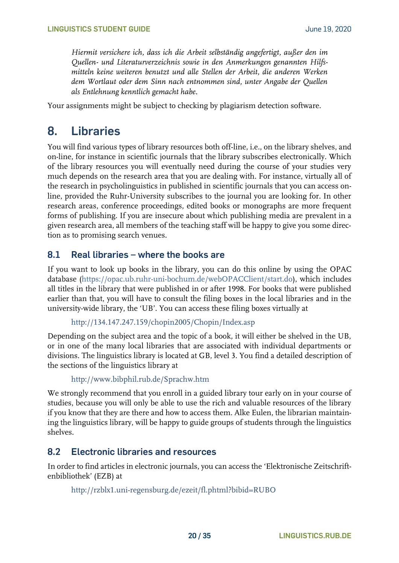*Hiermit versichere ich, dass ich die Arbeit selbständig angefertigt, außer den im Quellen- und Literaturverzeichnis sowie in den Anmerkungen genannten Hilfsmitteln keine weiteren benutzt und alle Stellen der Arbeit, die anderen Werken dem Wortlaut oder dem Sinn nach entnommen sind, unter Angabe der Quellen als Entlehnung kenntlich gemacht habe.*

<span id="page-19-0"></span>Your assignments might be subject to checking by plagiarism detection software.

# **8. Libraries**

You will find various types of library resources both off-line, i.e., on the library shelves, and on-line, for instance in scientific journals that the library subscribes electronically. Which of the library resources you will eventually need during the course of your studies very much depends on the research area that you are dealing with. For instance, virtually all of the research in psycholinguistics in published in scientific journals that you can access online, provided the Ruhr-University subscribes to the journal you are looking for. In other research areas, conference proceedings, edited books or monographs are more frequent forms of publishing. If you are insecure about which publishing media are prevalent in a given research area, all members of the teaching staff will be happy to give you some direction as to promising search venues.

### <span id="page-19-1"></span>**8.1 Real libraries – where the books are**

If you want to look up books in the library, you can do this online by using the OPAC database [\(https://opac.ub.ruhr-uni-bochum.de/webOPACClient/start.do\)](https://opac.ub.ruhr-uni-bochum.de/webOPACClient/start.do), which includes all titles in the library that were published in or after 1998. For books that were published earlier than that, you will have to consult the filing boxes in the local libraries and in the university-wide library, the 'UB'. You can access these filing boxes virtually at

```
http://134.147.247.159/chopin2005/Chopin/Index.asp
```
Depending on the subject area and the topic of a book, it will either be shelved in the UB, or in one of the many local libraries that are associated with individual departments or divisions. The linguistics library is located at GB, level 3. You find a detailed description of the sections of the linguistics library at

```
http://www.bibphil.rub.de/Sprachw.htm
```
We strongly recommend that you enroll in a guided library tour early on in your course of studies, because you will only be able to use the rich and valuable resources of the library if you know that they are there and how to access them. Alke Eulen, the librarian maintaining the linguistics library, will be happy to guide groups of students through the linguistics shelves.

#### <span id="page-19-2"></span>**8.2 Electronic libraries and resources**

In order to find articles in electronic journals, you can access the 'Elektronische Zeitschriftenbibliothek' (EZB) at

<http://rzblx1.uni-regensburg.de/ezeit/fl.phtml?bibid=RUBO>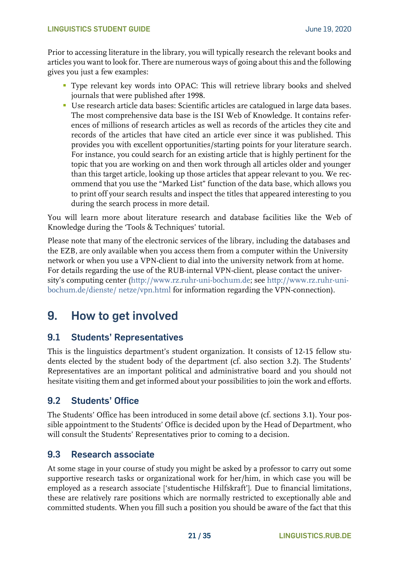#### **LINGUISTICS STUDENT GUIDE CONSERVERSITY CONSERVANCE IN A SERVICE OF A SERVICE OF A SERVICE OF A SERVICE OF A SERVICE OF A SERVICE OF A SERVICE OF A SERVICE OF A SERVICE OF A SERVICE OF A SERVICE OF A SERVICE OF A SERVIC**

Prior to accessing literature in the library, you will typically research the relevant books and articles you want to look for. There are numerous ways of going about this and the following gives you just a few examples:

- Type relevant key words into OPAC: This will retrieve library books and shelved journals that were published after 1998.
- Use research article data bases: Scientific articles are catalogued in large data bases. The most comprehensive data base is the ISI Web of Knowledge. It contains references of millions of research articles as well as records of the articles they cite and records of the articles that have cited an article ever since it was published. This provides you with excellent opportunities/starting points for your literature search. For instance, you could search for an existing article that is highly pertinent for the topic that you are working on and then work through all articles older and younger than this target article, looking up those articles that appear relevant to you. We recommend that you use the "Marked List" function of the data base, which allows you to print off your search results and inspect the titles that appeared interesting to you during the search process in more detail.

You will learn more about literature research and database facilities like the Web of Knowledge during the 'Tools & Techniques' tutorial.

Please note that many of the electronic services of the library, including the databases and the EZB, are only available when you access them from a computer within the University network or when you use a VPN-client to dial into the university network from at home. For details regarding the use of the RUB-internal VPN-client, please contact the university's computing center ([http://www.rz.ruhr-uni-bochum.de;](http://www.rz.ruhr-uni-bochum.de/) see [http://www.rz.ruhr-uni](http://www.rz.ruhr-uni-bochum.de/dienste/netze/vpn.html)[bochum.de/dienste/ netze/vpn.html](http://www.rz.ruhr-uni-bochum.de/dienste/netze/vpn.html) for information regarding the VPN-connection).

# <span id="page-20-0"></span>**9. How to get involved**

## <span id="page-20-1"></span>**9.1 Students' Representatives**

This is the linguistics department's student organization. It consists of 12-15 fellow students elected by the student body of the department (cf. also section 3.2). The Students' Representatives are an important political and administrative board and you should not hesitate visiting them and get informed about your possibilities to join the work and efforts.

## <span id="page-20-2"></span>**9.2 Students' Office**

The Students' Office has been introduced in some detail above (cf. sections 3.1). Your possible appointment to the Students' Office is decided upon by the Head of Department, who will consult the Students' Representatives prior to coming to a decision.

## <span id="page-20-3"></span>**9.3 Research associate**

At some stage in your course of study you might be asked by a professor to carry out some supportive research tasks or organizational work for her/him, in which case you will be employed as a research associate ['studentische Hilfskraft']. Due to financial limitations, these are relatively rare positions which are normally restricted to exceptionally able and committed students. When you fill such a position you should be aware of the fact that this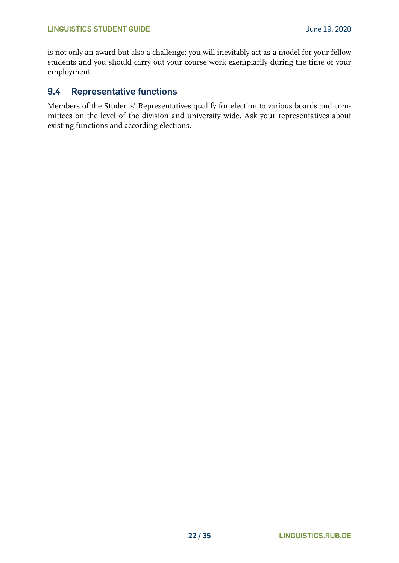is not only an award but also a challenge: you will inevitably act as a model for your fellow students and you should carry out your course work exemplarily during the time of your employment.

### <span id="page-21-0"></span>**9.4 Representative functions**

Members of the Students' Representatives qualify for election to various boards and committees on the level of the division and university wide. Ask your representatives about existing functions and according elections.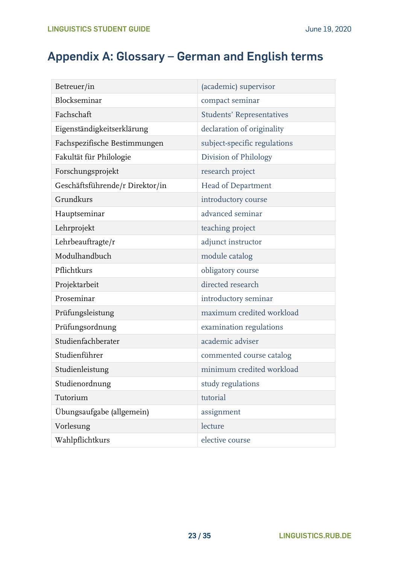# <span id="page-22-0"></span>**Appendix A: Glossary – German and English terms**

| Betreuer/in                     | (academic) supervisor            |
|---------------------------------|----------------------------------|
| Blockseminar                    | compact seminar                  |
| Fachschaft                      | <b>Students' Representatives</b> |
| Eigenständigkeitserklärung      | declaration of originality       |
| Fachspezifische Bestimmungen    | subject-specific regulations     |
| Fakultät für Philologie         | Division of Philology            |
| Forschungsprojekt               | research project                 |
| Geschäftsführende/r Direktor/in | Head of Department               |
| Grundkurs                       | introductory course              |
| Hauptseminar                    | advanced seminar                 |
| Lehrprojekt                     | teaching project                 |
| Lehrbeauftragte/r               | adjunct instructor               |
| Modulhandbuch                   | module catalog                   |
| Pflichtkurs                     | obligatory course                |
| Projektarbeit                   | directed research                |
| Proseminar                      | introductory seminar             |
| Prüfungsleistung                | maximum credited workload        |
| Prüfungsordnung                 | examination regulations          |
| Studienfachberater              | academic adviser                 |
| Studienführer                   | commented course catalog         |
| Studienleistung                 | minimum credited workload        |
| Studienordnung                  | study regulations                |
| Tutorium                        | tutorial                         |
| Übungsaufgabe (allgemein)       | assignment                       |
| Vorlesung                       | lecture                          |
| Wahlpflichtkurs                 | elective course                  |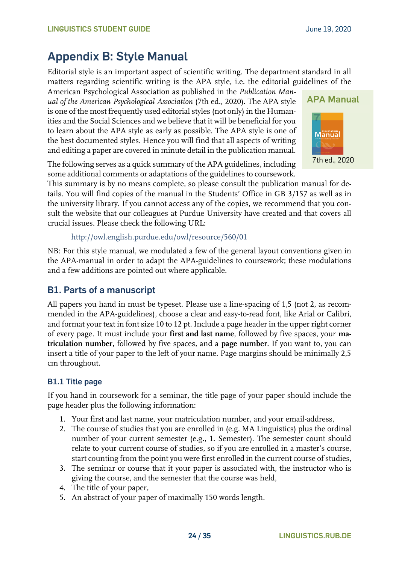# <span id="page-23-0"></span>**Appendix B: Style Manual**

Editorial style is an important aspect of scientific writing. The department standard in all matters regarding scientific writing is the APA style, i.e. the editorial guidelines of the

American Psychological Association as published in the *Publication Manual of the American Psychological Association* (7th ed., 2020). The APA style is one of the most frequently used editorial styles (not only) in the Humanities and the Social Sciences and we believe that it will be beneficial for you to learn about the APA style as early as possible. The APA style is one of the best documented styles. Hence you will find that all aspects of writing and editing a paper are covered in minute detail in the publication manual.

The following serves as a quick summary of the APA guidelines, including some additional comments or adaptations of the guidelines to coursework.

This summary is by no means complete, so please consult the publication manual for details. You will find copies of the manual in the Students' Office in GB 3/157 as well as in the university library. If you cannot access any of the copies, we recommend that you consult the website that our colleagues at Purdue University have created and that covers all crucial issues. Please check the following URL:

```
http://owl.english.purdue.edu/owl/resource/560/01
```
NB: For this style manual, we modulated a few of the general layout conventions given in the APA-manual in order to adapt the APA-guidelines to coursework; these modulations and a few additions are pointed out where applicable.

## <span id="page-23-1"></span>**B1. Parts of a manuscript**

All papers you hand in must be typeset. Please use a line-spacing of 1,5 (not 2, as recommended in the APA-guidelines), choose a clear and easy-to-read font, like Arial or Calibri, and format your text in font size 10 to 12 pt. Include a page header in the upper right corner of every page. It must include your **first and last name**, followed by five spaces, your **matriculation number**, followed by five spaces, and a **page number**. If you want to, you can insert a title of your paper to the left of your name. Page margins should be minimally 2,5 cm throughout.

#### <span id="page-23-2"></span>**B1.1 Title page**

If you hand in coursework for a seminar, the title page of your paper should include the page header plus the following information:

- 1. Your first and last name, your matriculation number, and your email-address,
- 2. The course of studies that you are enrolled in (e.g. MA Linguistics) plus the ordinal number of your current semester (e.g., 1. Semester). The semester count should relate to your current course of studies, so if you are enrolled in a master's course, start counting from the point you were first enrolled in the current course of studies,
- 3. The seminar or course that it your paper is associated with, the instructor who is giving the course, and the semester that the course was held,
- 4. The title of your paper,
- 5. An abstract of your paper of maximally 150 words length.

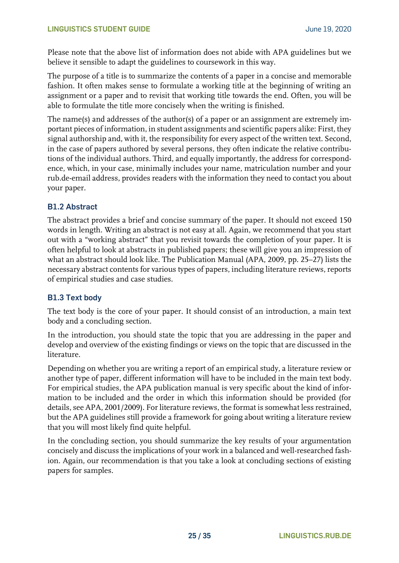Please note that the above list of information does not abide with APA guidelines but we believe it sensible to adapt the guidelines to coursework in this way.

The purpose of a title is to summarize the contents of a paper in a concise and memorable fashion. It often makes sense to formulate a working title at the beginning of writing an assignment or a paper and to revisit that working title towards the end. Often, you will be able to formulate the title more concisely when the writing is finished.

The name(s) and addresses of the author(s) of a paper or an assignment are extremely important pieces of information, in student assignments and scientific papers alike: First, they signal authorship and, with it, the responsibility for every aspect of the written text. Second, in the case of papers authored by several persons, they often indicate the relative contributions of the individual authors. Third, and equally importantly, the address for correspondence, which, in your case, minimally includes your name, matriculation number and your rub.de-email address, provides readers with the information they need to contact you about your paper.

#### <span id="page-24-0"></span>**B1.2 Abstract**

The abstract provides a brief and concise summary of the paper. It should not exceed 150 words in length. Writing an abstract is not easy at all. Again, we recommend that you start out with a "working abstract" that you revisit towards the completion of your paper. It is often helpful to look at abstracts in published papers; these will give you an impression of what an abstract should look like. The Publication Manual (APA, 2009, pp. 25–27) lists the necessary abstract contents for various types of papers, including literature reviews, reports of empirical studies and case studies.

#### <span id="page-24-1"></span>**B1.3 Text body**

The text body is the core of your paper. It should consist of an introduction, a main text body and a concluding section.

In the introduction, you should state the topic that you are addressing in the paper and develop and overview of the existing findings or views on the topic that are discussed in the literature.

Depending on whether you are writing a report of an empirical study, a literature review or another type of paper, different information will have to be included in the main text body. For empirical studies, the APA publication manual is very specific about the kind of information to be included and the order in which this information should be provided (for details, see APA, 2001/2009). For literature reviews, the format is somewhat less restrained, but the APA guidelines still provide a framework for going about writing a literature review that you will most likely find quite helpful.

In the concluding section, you should summarize the key results of your argumentation concisely and discuss the implications of your work in a balanced and well-researched fashion. Again, our recommendation is that you take a look at concluding sections of existing papers for samples.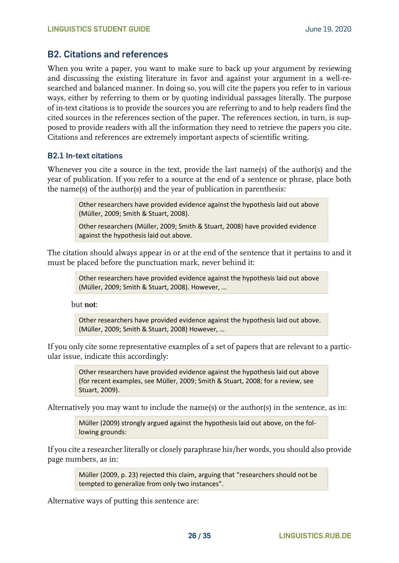#### <span id="page-25-0"></span>**B2. Citations and references**

When you write a paper, you want to make sure to back up your argument by reviewing and discussing the existing literature in favor and against your argument in a well-researched and balanced manner. In doing so, you will cite the papers you refer to in various ways, either by referring to them or by quoting individual passages literally. The purpose of in-text citations is to provide the sources you are referring to and to help readers find the cited sources in the references section of the paper. The references section, in turn, is supposed to provide readers with all the information they need to retrieve the papers you cite. Citations and references are extremely important aspects of scientific writing.

#### <span id="page-25-1"></span>**B2.1 In-text citations**

Whenever you cite a source in the text, provide the last name(s) of the author(s) and the year of publication. If you refer to a source at the end of a sentence or phrase, place both the name(s) of the author(s) and the year of publication in parenthesis:

> Other researchers have provided evidence against the hypothesis laid out above (Müller, 2009; Smith & Stuart, 2008).

Other researchers (Müller, 2009; Smith & Stuart, 2008) have provided evidence against the hypothesis laid out above.

The citation should always appear in or at the end of the sentence that it pertains to and it must be placed before the punctuation mark, never behind it:

> Other researchers have provided evidence against the hypothesis laid out above (Müller, 2009; Smith & Stuart, 2008). However, …

but **not**:

Other researchers have provided evidence against the hypothesis laid out above. (Müller, 2009; Smith & Stuart, 2008) However, …

If you only cite some representative examples of a set of papers that are relevant to a particular issue, indicate this accordingly:

> Other researchers have provided evidence against the hypothesis laid out above (for recent examples, see Müller, 2009; Smith & Stuart, 2008; for a review, see Stuart, 2009).

Alternatively you may want to include the name(s) or the author(s) in the sentence, as in:

Müller (2009) strongly argued against the hypothesis laid out above, on the following grounds:

If you cite a researcher literally or closely paraphrase his/her words, you should also provide page numbers, as in:

> Müller (2009, p. 23) rejected this claim, arguing that "researchers should not be tempted to generalize from only two instances".

Alternative ways of putting this sentence are: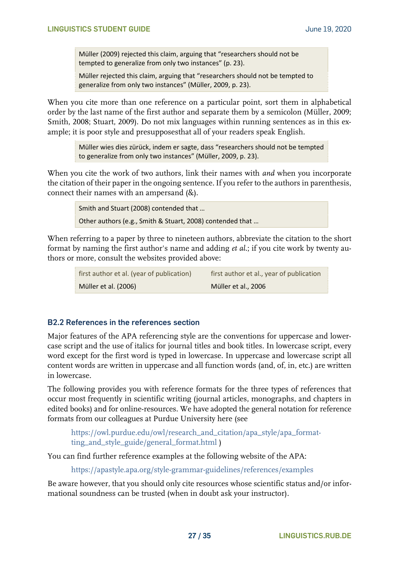Müller (2009) rejected this claim, arguing that "researchers should not be tempted to generalize from only two instances" (p. 23).

Müller rejected this claim, arguing that "researchers should not be tempted to generalize from only two instances" (Müller, 2009, p. 23).

When you cite more than one reference on a particular point, sort them in alphabetical order by the last name of the first author and separate them by a semicolon (Müller, 2009; Smith, 2008; Stuart, 2009). Do not mix languages within running sentences as in this example; it is poor style and presupposesthat all of your readers speak English.

> Müller wies dies zürück, indem er sagte, dass "researchers should not be tempted to generalize from only two instances" (Müller, 2009, p. 23).

When you cite the work of two authors, link their names with *and* when you incorporate the citation of their paper in the ongoing sentence. If you refer to the authors in parenthesis, connect their names with an ampersand (&).

> Smith and Stuart (2008) contended that … Other authors (e.g., Smith & Stuart, 2008) contended that …

When referring to a paper by three to nineteen authors, abbreviate the citation to the short format by naming the first author's name and adding *et al.*; if you cite work by twenty authors or more, consult the websites provided above:

| first author et al. (year of publication) | first author et al., year of publication |
|-------------------------------------------|------------------------------------------|
| Müller et al. (2006)                      | Müller et al., 2006                      |

#### <span id="page-26-0"></span>**B2.2 References in the references section**

Major features of the APA referencing style are the conventions for uppercase and lowercase script and the use of italics for journal titles and book titles. In lowercase script, every word except for the first word is typed in lowercase. In uppercase and lowercase script all content words are written in uppercase and all function words (and, of, in, etc.) are written in lowercase.

The following provides you with reference formats for the three types of references that occur most frequently in scientific writing (journal articles, monographs, and chapters in edited books) and for online-resources. We have adopted the general notation for reference formats from our colleagues at Purdue University here (see

[https://owl.purdue.edu/owl/research\\_and\\_citation/apa\\_style/apa\\_format](https://owl.purdue.edu/owl/research_and_citation/apa_style/apa_formatting_and_style_guide/general_format.html)[ting\\_and\\_style\\_guide/general\\_format.html](https://owl.purdue.edu/owl/research_and_citation/apa_style/apa_formatting_and_style_guide/general_format.html) )

You can find further reference examples at the following website of the APA:

<https://apastyle.apa.org/style-grammar-guidelines/references/examples>

Be aware however, that you should only cite resources whose scientific status and/or informational soundness can be trusted (when in doubt ask your instructor).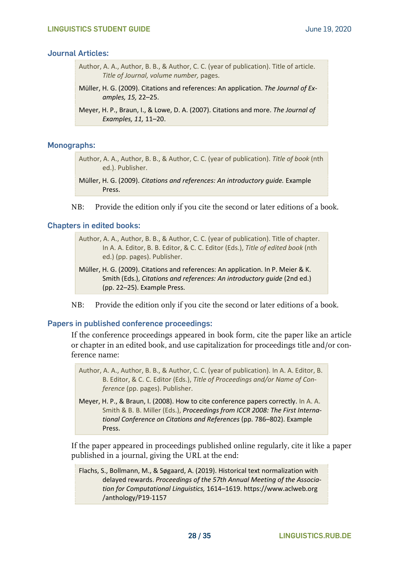#### **Journal Articles:**

- Author, A. A., Author, B. B., & Author, C. C. (year of publication). Title of article. *Title of Journal, volume number,* pages.
- Müller, H. G. (2009). Citations and references: An application. *The Journal of Examples, 15,* 22–25.
- Meyer, H. P., Braun, I., & Lowe, D. A. (2007). Citations and more. *The Journal of Examples, 11,* 11–20.

#### **Monographs:**

Author, A. A., Author, B. B., & Author, C. C. (year of publication). *Title of book* (nth ed.). Publisher.

NB: Provide the edition only if you cite the second or later editions of a book.

#### **Chapters in edited books:**

Author, A. A., Author, B. B., & Author, C. C. (year of publication). Title of chapter. In A. A. Editor, B. B. Editor, & C. C. Editor (Eds.), *Title of edited book* (nth ed.) (pp. pages). Publisher.

- Müller, H. G. (2009). Citations and references: An application. In P. Meier & K. Smith (Eds.), *Citations and references: An introductory guide* (2nd ed.) (pp. 22–25). Example Press.
- NB: Provide the edition only if you cite the second or later editions of a book.

#### **Papers in published conference proceedings:**

If the conference proceedings appeared in book form, cite the paper like an article or chapter in an edited book, and use capitalization for proceedings title and/or conference name:

Author, A. A., Author, B. B., & Author, C. C. (year of publication). In A. A. Editor, B. B. Editor, & C. C. Editor (Eds.), *Title of Proceedings and/or Name of Conference* (pp. pages). Publisher.

Meyer, H. P., & Braun, I. (2008). How to cite conference papers correctly. In A. A. Smith & B. B. Miller (Eds.), *Proceedings from ICCR 2008: The First International Conference on Citations and References* (pp. 786–802). Example Press.

If the paper appeared in proceedings published online regularly, cite it like a paper published in a journal, giving the URL at the end:

Flachs, S., Bollmann, M., & Søgaard, A. (2019). Historical text normalization with delayed rewards. *Proceedings of the 57th Annual Meeting of the Association for Computational Linguistics,* 1614–1619. https://www.aclweb.org /anthology/P19-1157

Müller, H. G. (2009). *Citations and references: An introductory guide.* Example Press.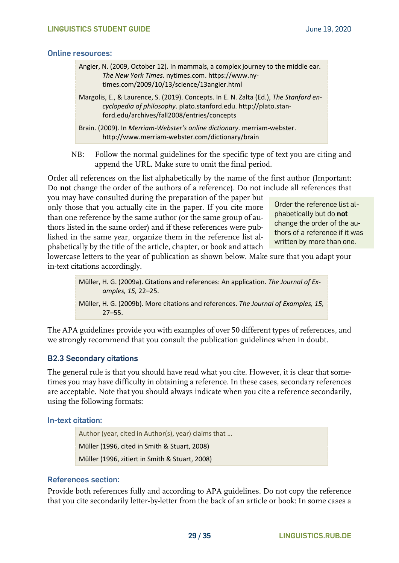#### **Online resources:**

| Angier, N. (2009, October 12). In mammals, a complex journey to the middle ear.<br>The New York Times. nytimes.com. https://www.ny-<br>times.com/2009/10/13/science/13angier.html                        |
|----------------------------------------------------------------------------------------------------------------------------------------------------------------------------------------------------------|
| Margolis, E., & Laurence, S. (2019). Concepts. In E. N. Zalta (Ed.), The Stanford en-<br>cyclopedia of philosophy. plato.stanford.edu. http://plato.stan-<br>ford.edu/archives/fall2008/entries/concepts |
| Brain. (2009). In Merriam-Webster's online dictionary. merriam-webster.<br>http://www.merriam-webster.com/dictionary/brain                                                                               |

NB: Follow the normal guidelines for the specific type of text you are citing and append the URL. Make sure to omit the final period.

Order all references on the list alphabetically by the name of the first author (Important: Do **not** change the order of the authors of a reference). Do not include all references that

you may have consulted during the preparation of the paper but only those that you actually cite in the paper. If you cite more than one reference by the same author (or the same group of authors listed in the same order) and if these references were published in the same year, organize them in the reference list alphabetically by the title of the article, chapter, or book and attach

Order the reference list alphabetically but do **not** change the order of the authors of a reference if it was written by more than one.

lowercase letters to the year of publication as shown below. Make sure that you adapt your in-text citations accordingly.

> Müller, H. G. (2009a). Citations and references: An application. *The Journal of Examples, 15,* 22–25.

> Müller, H. G. (2009b). More citations and references. *The Journal of Examples, 15,* 27–55.

The APA guidelines provide you with examples of over 50 different types of references, and we strongly recommend that you consult the publication guidelines when in doubt.

#### <span id="page-28-0"></span>**B2.3 Secondary citations**

The general rule is that you should have read what you cite. However, it is clear that sometimes you may have difficulty in obtaining a reference. In these cases, secondary references are acceptable. Note that you should always indicate when you cite a reference secondarily, using the following formats:

#### **In-text citation:**

Author (year, cited in Author(s), year) claims that … Müller (1996, cited in Smith & Stuart, 2008) Müller (1996, zitiert in Smith & Stuart, 2008)

#### **References section:**

Provide both references fully and according to APA guidelines. Do not copy the reference that you cite secondarily letter-by-letter from the back of an article or book: In some cases a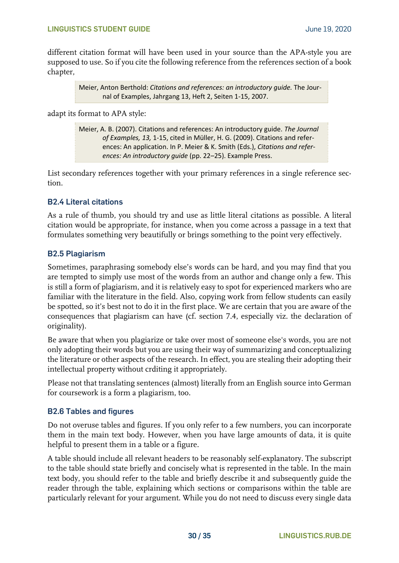different citation format will have been used in your source than the APA-style you are supposed to use. So if you cite the following reference from the references section of a book chapter,

> Meier, Anton Berthold: *Citations and references: an introductory guide.* The Journal of Examples, Jahrgang 13, Heft 2, Seiten 1-15, 2007.

adapt its format to APA style:

Meier, A. B. (2007). Citations and references: An introductory guide. *The Journal of Examples, 13,* 1-15, cited in Müller, H. G. (2009). Citations and references: An application. In P. Meier & K. Smith (Eds.), *Citations and references: An introductory guide* (pp. 22–25). Example Press.

List secondary references together with your primary references in a single reference section.

#### <span id="page-29-0"></span>**B2.4 Literal citations**

As a rule of thumb, you should try and use as little literal citations as possible. A literal citation would be appropriate, for instance, when you come across a passage in a text that formulates something very beautifully or brings something to the point very effectively.

#### <span id="page-29-1"></span>**B2.5 Plagiarism**

Sometimes, paraphrasing somebody else's words can be hard, and you may find that you are tempted to simply use most of the words from an author and change only a few. This is still a form of plagiarism, and it is relatively easy to spot for experienced markers who are familiar with the literature in the field. Also, copying work from fellow students can easily be spotted, so it's best not to do it in the first place. We are certain that you are aware of the consequences that plagiarism can have (cf. section 7.4, especially viz. the declaration of originality).

Be aware that when you plagiarize or take over most of someone else's words, you are not only adopting their words but you are using their way of summarizing and conceptualizing the literature or other aspects of the research. In effect, you are stealing their adopting their intellectual property without crditing it appropriately.

Please not that translating sentences (almost) literally from an English source into German for coursework is a form a plagiarism, too.

#### <span id="page-29-2"></span>**B2.6 Tables and figures**

Do not overuse tables and figures. If you only refer to a few numbers, you can incorporate them in the main text body. However, when you have large amounts of data, it is quite helpful to present them in a table or a figure.

A table should include all relevant headers to be reasonably self-explanatory. The subscript to the table should state briefly and concisely what is represented in the table. In the main text body, you should refer to the table and briefly describe it and subsequently guide the reader through the table, explaining which sections or comparisons within the table are particularly relevant for your argument. While you do not need to discuss every single data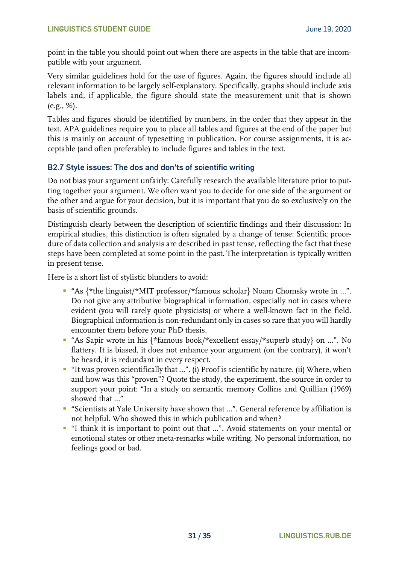point in the table you should point out when there are aspects in the table that are incompatible with your argument.

Very similar guidelines hold for the use of figures. Again, the figures should include all relevant information to be largely self-explanatory. Specifically, graphs should include axis labels and, if applicable, the figure should state the measurement unit that is shown (e.g., %).

Tables and figures should be identified by numbers, in the order that they appear in the text. APA guidelines require you to place all tables and figures at the end of the paper but this is mainly on account of typesetting in publication. For course assignments, it is acceptable (and often preferable) to include figures and tables in the text.

#### <span id="page-30-0"></span>**B2.7 Style issues: The dos and don'ts of scientific writing**

Do not bias your argument unfairly: Carefully research the available literature prior to putting together your argument. We often want you to decide for one side of the argument or the other and argue for your decision, but it is important that you do so exclusively on the basis of scientific grounds.

Distinguish clearly between the description of scientific findings and their discussion: In empirical studies, this distinction is often signaled by a change of tense: Scientific procedure of data collection and analysis are described in past tense, reflecting the fact that these steps have been completed at some point in the past. The interpretation is typically written in present tense.

Here is a short list of stylistic blunders to avoid:

- "As {\*the linguist/\*MIT professor/\*famous scholar} Noam Chomsky wrote in ...". Do not give any attributive biographical information, especially not in cases where evident (you will rarely quote physicists) or where a well-known fact in the field. Biographical information is non-redundant only in cases so rare that you will hardly encounter them before your PhD thesis.
- "As Sapir wrote in his {\*famous book/\*excellent essay/\*superb study} on …". No flattery. It is biased, it does not enhance your argument (on the contrary), it won't be heard, it is redundant in every respect.
- "It was proven scientifically that ...". (i) Proof is scientific by nature. (ii) Where, when and how was this "proven"? Quote the study, the experiment, the source in order to support your point: "In a study on semantic memory Collins and Quillian (1969) showed that …"
- "Scientists at Yale University have shown that ...". General reference by affiliation is not helpful. Who showed this in which publication and when?
- "I think it is important to point out that …". Avoid statements on your mental or emotional states or other meta-remarks while writing. No personal information, no feelings good or bad.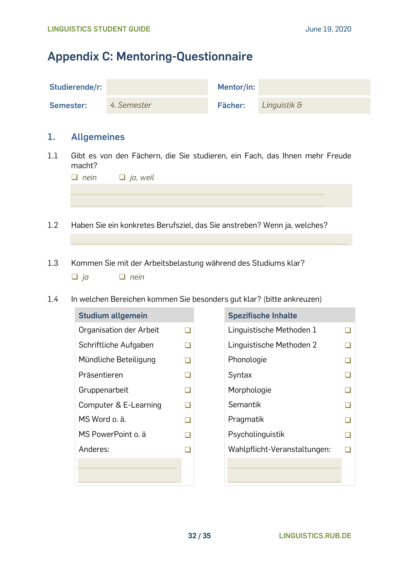# <span id="page-31-0"></span>**Appendix C: Mentoring-Questionnaire**

| Studierende/r: |             | Mentor/in: |              |
|----------------|-------------|------------|--------------|
| Semester:      | 4. Semester | Fächer:    | Linguistik & |

#### **1. Allgemeines**

1.1 Gibt es von den Fächern, die Sie studieren, ein Fach, das Ihnen mehr Freude macht?

| $\Box$ nein $\Box$ ja, weil |
|-----------------------------|
|                             |
|                             |
|                             |

 $\mathcal{L}_\text{max}$  , and the set of the set of the set of the set of the set of the set of the set of the set of the set of the set of the set of the set of the set of the set of the set of the set of the set of the set of the

- 1.2 Haben Sie ein konkretes Berufsziel, das Sie anstreben? Wenn ja, welches?
- 1.3 Kommen Sie mit der Arbeitsbelastung während des Studiums klar? ❑ *ja* ❑ *nein*
- 1.4 In welchen Bereichen kommen Sie besonders gut klar? (bitte ankreuzen)

| <b>Studium allgemein</b> |        | <b>Spezifische Inhalte</b> |
|--------------------------|--------|----------------------------|
| Organisation der Arbeit  |        | Linguistische Metho        |
| Schriftliche Aufgaben    | $\Box$ | Linguistische Metho        |
| Mündliche Beteiligung    | $\Box$ | Phonologie                 |
| Präsentieren             | ▁      | Syntax                     |
| Gruppenarbeit            | $\Box$ | Morphologie                |
| Computer & E-Learning    | ⊐      | Semantik                   |
| MS Word o. ä.            | $\Box$ | Pragmatik                  |
| MS PowerPoint o. ä       | ❏      | Psycholinguistik           |
| Anderes:                 |        | Wahlpflicht-Veranst        |
|                          |        |                            |
|                          |        |                            |

| <b>Studium allgemein</b> |  | <b>Spezifische Inhalte</b>   |  |
|--------------------------|--|------------------------------|--|
| Organisation der Arbeit  |  | Linguistische Methoden 1     |  |
| Schriftliche Aufgaben    |  | Linguistische Methoden 2     |  |
| Mündliche Beteiligung    |  | Phonologie                   |  |
| Präsentieren             |  | Syntax                       |  |
| Gruppenarbeit            |  | Morphologie                  |  |
| Computer & E-Learning    |  | Semantik                     |  |
| MS Word o. ä.            |  | Pragmatik                    |  |
| MS PowerPoint o. ä       |  | Psycholinguistik             |  |
| Anderes:                 |  | Wahlpflicht-Veranstaltungen: |  |
|                          |  |                              |  |
|                          |  |                              |  |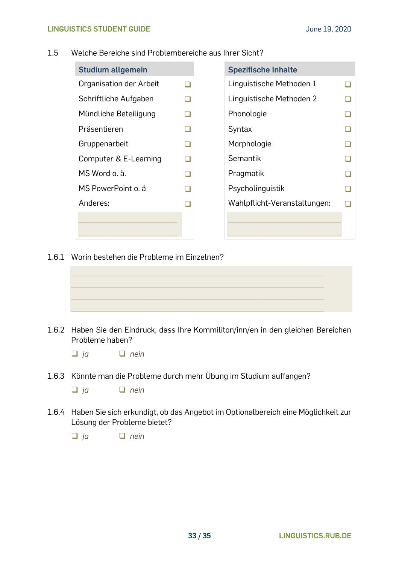#### 1.5 Welche Bereiche sind Problembereiche aus Ihrer Sicht?

| <b>Studium allgemein</b> |  | <b>Spezifische Inhalte</b>   |  |
|--------------------------|--|------------------------------|--|
| Organisation der Arbeit  |  | Linguistische Methoden 1     |  |
| Schriftliche Aufgaben    |  | Linguistische Methoden 2     |  |
| Mündliche Beteiligung    |  | Phonologie                   |  |
| Präsentieren             |  | Syntax                       |  |
| Gruppenarbeit            |  | Morphologie                  |  |
| Computer & E-Learning    |  | Semantik                     |  |
| MS Word o. ä.            |  | Pragmatik                    |  |
| MS PowerPoint o. ä       |  | Psycholinguistik             |  |
| Anderes:                 |  | Wahlpflicht-Veranstaltungen: |  |
|                          |  |                              |  |
|                          |  |                              |  |

1.6.1 Worin bestehen die Probleme im Einzelnen?



1.6.2 Haben Sie den Eindruck, dass Ihre Kommiliton/inn/en in den gleichen Bereichen Probleme haben?

❑ *ja* ❑ *nein*

1.6.3 Könnte man die Probleme durch mehr Übung im Studium auffangen?

❑ *ja* ❑ *nein*

1.6.4 Haben Sie sich erkundigt, ob das Angebot im Optionalbereich eine Möglichkeit zur Lösung der Probleme bietet?

❑ *ja* ❑ *nein*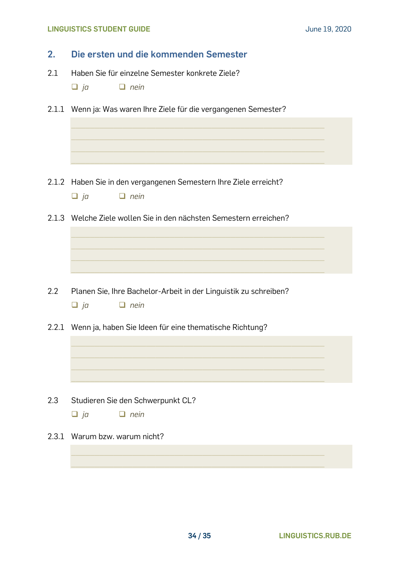#### **LINGUISTICS STUDENT GUIDE June 19, 2020**

| 2.    | Die ersten und die kommenden Semester                                                         |  |  |  |  |  |  |
|-------|-----------------------------------------------------------------------------------------------|--|--|--|--|--|--|
| 2.1   | Haben Sie für einzelne Semester konkrete Ziele?<br>$\Box$ ja<br>$\Box$ nein                   |  |  |  |  |  |  |
|       | 2.1.1 Wenn ja: Was waren Ihre Ziele für die vergangenen Semester?                             |  |  |  |  |  |  |
|       |                                                                                               |  |  |  |  |  |  |
|       |                                                                                               |  |  |  |  |  |  |
|       | 2.1.2 Haben Sie in den vergangenen Semestern Ihre Ziele erreicht?<br>$\Box$ nein<br>$\Box$ ja |  |  |  |  |  |  |
|       | 2.1.3 Welche Ziele wollen Sie in den nächsten Semestern erreichen?                            |  |  |  |  |  |  |
|       |                                                                                               |  |  |  |  |  |  |
|       |                                                                                               |  |  |  |  |  |  |
| 2.2   | Planen Sie, Ihre Bachelor-Arbeit in der Linguistik zu schreiben?<br>$\Box$ ja<br>$\Box$ nein  |  |  |  |  |  |  |
|       | 2.2.1 Wenn ja, haben Sie Ideen für eine thematische Richtung?                                 |  |  |  |  |  |  |
|       |                                                                                               |  |  |  |  |  |  |
|       |                                                                                               |  |  |  |  |  |  |
| 2.3   | Studieren Sie den Schwerpunkt CL?                                                             |  |  |  |  |  |  |
|       | $\Box$ ja<br>$\Box$ nein                                                                      |  |  |  |  |  |  |
| 2.3.1 | Warum bzw. warum nicht?                                                                       |  |  |  |  |  |  |
|       |                                                                                               |  |  |  |  |  |  |